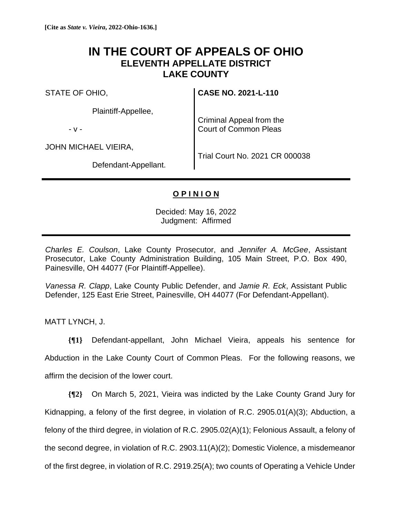## **IN THE COURT OF APPEALS OF OHIO ELEVENTH APPELLATE DISTRICT LAKE COUNTY**

STATE OF OHIO,

Plaintiff-Appellee,

- v -

JOHN MICHAEL VIEIRA,

**CASE NO. 2021-L-110**

Criminal Appeal from the Court of Common Pleas

Trial Court No. 2021 CR 000038

Defendant-Appellant.

**O P I N I O N**

Decided: May 16, 2022 Judgment: Affirmed

*Charles E. Coulson*, Lake County Prosecutor, and *Jennifer A. McGee*, Assistant Prosecutor, Lake County Administration Building, 105 Main Street, P.O. Box 490, Painesville, OH 44077 (For Plaintiff-Appellee).

*Vanessa R. Clapp*, Lake County Public Defender, and *Jamie R. Eck*, Assistant Public Defender, 125 East Erie Street, Painesville, OH 44077 (For Defendant-Appellant).

MATT LYNCH, J.

**{¶1}** Defendant-appellant, John Michael Vieira, appeals his sentence for Abduction in the Lake County Court of Common Pleas. For the following reasons, we affirm the decision of the lower court.

**{¶2}** On March 5, 2021, Vieira was indicted by the Lake County Grand Jury for Kidnapping, a felony of the first degree, in violation of R.C. 2905.01(A)(3); Abduction, a felony of the third degree, in violation of R.C. 2905.02(A)(1); Felonious Assault, a felony of the second degree, in violation of R.C. 2903.11(A)(2); Domestic Violence, a misdemeanor of the first degree, in violation of R.C. 2919.25(A); two counts of Operating a Vehicle Under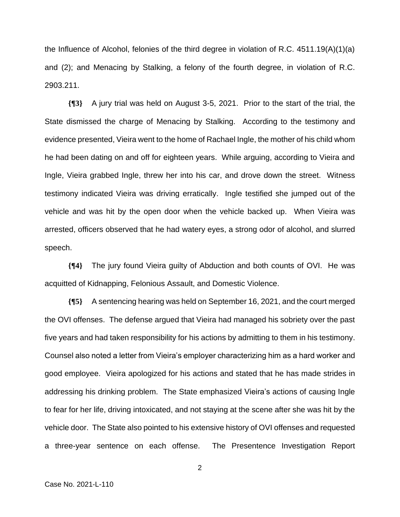the Influence of Alcohol, felonies of the third degree in violation of R.C. 4511.19(A)(1)(a) and (2); and Menacing by Stalking, a felony of the fourth degree, in violation of R.C. 2903.211.

**{¶3}** A jury trial was held on August 3-5, 2021. Prior to the start of the trial, the State dismissed the charge of Menacing by Stalking. According to the testimony and evidence presented, Vieira went to the home of Rachael Ingle, the mother of his child whom he had been dating on and off for eighteen years. While arguing, according to Vieira and Ingle, Vieira grabbed Ingle, threw her into his car, and drove down the street. Witness testimony indicated Vieira was driving erratically. Ingle testified she jumped out of the vehicle and was hit by the open door when the vehicle backed up. When Vieira was arrested, officers observed that he had watery eyes, a strong odor of alcohol, and slurred speech.

**{¶4}** The jury found Vieira guilty of Abduction and both counts of OVI. He was acquitted of Kidnapping, Felonious Assault, and Domestic Violence.

**{¶5}** A sentencing hearing was held on September 16, 2021, and the court merged the OVI offenses. The defense argued that Vieira had managed his sobriety over the past five years and had taken responsibility for his actions by admitting to them in his testimony. Counsel also noted a letter from Vieira's employer characterizing him as a hard worker and good employee. Vieira apologized for his actions and stated that he has made strides in addressing his drinking problem. The State emphasized Vieira's actions of causing Ingle to fear for her life, driving intoxicated, and not staying at the scene after she was hit by the vehicle door. The State also pointed to his extensive history of OVI offenses and requested a three-year sentence on each offense. The Presentence Investigation Report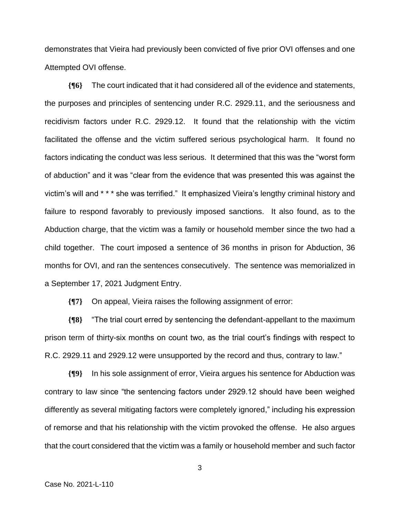demonstrates that Vieira had previously been convicted of five prior OVI offenses and one Attempted OVI offense.

**{¶6}** The court indicated that it had considered all of the evidence and statements, the purposes and principles of sentencing under R.C. 2929.11, and the seriousness and recidivism factors under R.C. 2929.12. It found that the relationship with the victim facilitated the offense and the victim suffered serious psychological harm. It found no factors indicating the conduct was less serious. It determined that this was the "worst form of abduction" and it was "clear from the evidence that was presented this was against the victim's will and \* \* \* she was terrified." It emphasized Vieira's lengthy criminal history and failure to respond favorably to previously imposed sanctions. It also found, as to the Abduction charge, that the victim was a family or household member since the two had a child together. The court imposed a sentence of 36 months in prison for Abduction, 36 months for OVI, and ran the sentences consecutively. The sentence was memorialized in a September 17, 2021 Judgment Entry.

**{¶7}** On appeal, Vieira raises the following assignment of error:

**{¶8}** "The trial court erred by sentencing the defendant-appellant to the maximum prison term of thirty-six months on count two, as the trial court's findings with respect to R.C. 2929.11 and 2929.12 were unsupported by the record and thus, contrary to law."

**{¶9}** In his sole assignment of error, Vieira argues his sentence for Abduction was contrary to law since "the sentencing factors under 2929.12 should have been weighed differently as several mitigating factors were completely ignored," including his expression of remorse and that his relationship with the victim provoked the offense. He also argues that the court considered that the victim was a family or household member and such factor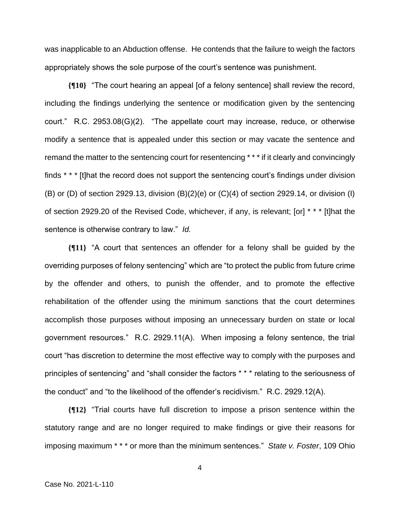was inapplicable to an Abduction offense. He contends that the failure to weigh the factors appropriately shows the sole purpose of the court's sentence was punishment.

**{¶10}** "The court hearing an appeal [of a felony sentence] shall review the record, including the findings underlying the sentence or modification given by the sentencing court." R.C. 2953.08(G)(2). "The appellate court may increase, reduce, or otherwise modify a sentence that is appealed under this section or may vacate the sentence and remand the matter to the sentencing court for resentencing \* \* \* if it clearly and convincingly finds \* \* \* [t]hat the record does not support the sentencing court's findings under division  $(B)$  or  $(D)$  of section 2929.13, division  $(B)(2)(e)$  or  $(C)(4)$  of section 2929.14, or division  $(I)$ of section 2929.20 of the Revised Code, whichever, if any, is relevant; [or] \* \* \* [t]hat the sentence is otherwise contrary to law." *Id.*

**{¶11}** "A court that sentences an offender for a felony shall be guided by the overriding purposes of felony sentencing" which are "to protect the public from future crime by the offender and others, to punish the offender, and to promote the effective rehabilitation of the offender using the minimum sanctions that the court determines accomplish those purposes without imposing an unnecessary burden on state or local government resources." R.C. 2929.11(A). When imposing a felony sentence, the trial court "has discretion to determine the most effective way to comply with the purposes and principles of sentencing" and "shall consider the factors \* \* \* relating to the seriousness of the conduct" and "to the likelihood of the offender's recidivism." R.C. 2929.12(A).

**{¶12}** "Trial courts have full discretion to impose a prison sentence within the statutory range and are no longer required to make findings or give their reasons for imposing maximum \* \* \* or more than the minimum sentences." *State v. Foster*, 109 Ohio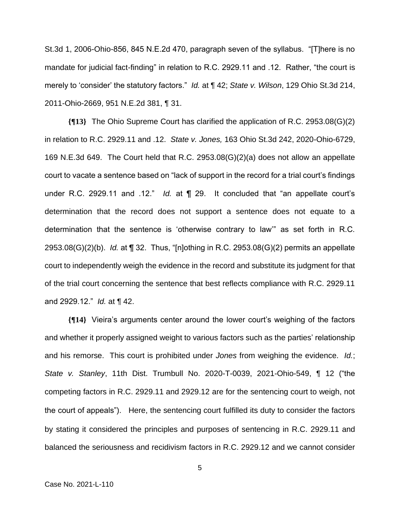St.3d 1, 2006-Ohio-856, 845 N.E.2d 470, paragraph seven of the syllabus. "[T]here is no mandate for judicial fact-finding" in relation to R.C. 2929.11 and .12. Rather, "the court is merely to 'consider' the statutory factors." *Id.* at ¶ 42; *State v. Wilson*, 129 Ohio St.3d 214, 2011-Ohio-2669, 951 N.E.2d 381, ¶ 31.

**{¶13}** The Ohio Supreme Court has clarified the application of R.C. 2953.08(G)(2) in relation to R.C. 2929.11 and .12. *State v. Jones,* 163 Ohio St.3d 242, 2020-Ohio-6729, 169 N.E.3d 649. The Court held that R.C. 2953.08(G)(2)(a) does not allow an appellate court to vacate a sentence based on "lack of support in the record for a trial court's findings under R.C. 2929.11 and .12." *Id.* at ¶ 29. It concluded that "an appellate court's determination that the record does not support a sentence does not equate to a determination that the sentence is 'otherwise contrary to law'" as set forth in R.C. 2953.08(G)(2)(b). *Id.* at ¶ 32. Thus, "[n]othing in R.C. 2953.08(G)(2) permits an appellate court to independently weigh the evidence in the record and substitute its judgment for that of the trial court concerning the sentence that best reflects compliance with R.C. 2929.11 and 2929.12." *Id.* at ¶ 42.

**{¶14}** Vieira's arguments center around the lower court's weighing of the factors and whether it properly assigned weight to various factors such as the parties' relationship and his remorse. This court is prohibited under *Jones* from weighing the evidence. *Id.*; *State v. Stanley*, 11th Dist. Trumbull No. 2020-T-0039, 2021-Ohio-549, ¶ 12 ("the competing factors in R.C. 2929.11 and 2929.12 are for the sentencing court to weigh, not the court of appeals"). Here, the sentencing court fulfilled its duty to consider the factors by stating it considered the principles and purposes of sentencing in R.C. 2929.11 and balanced the seriousness and recidivism factors in R.C. 2929.12 and we cannot consider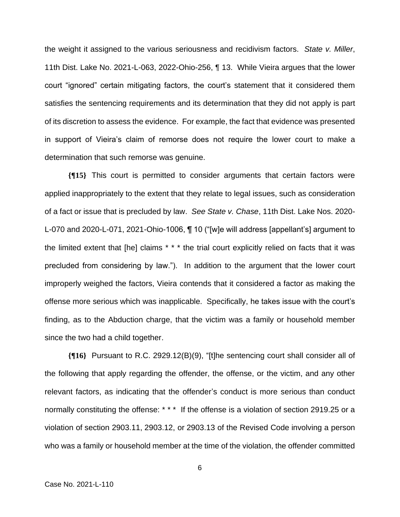the weight it assigned to the various seriousness and recidivism factors. *State v. Miller*, 11th Dist. Lake No. 2021-L-063, 2022-Ohio-256, ¶ 13. While Vieira argues that the lower court "ignored" certain mitigating factors, the court's statement that it considered them satisfies the sentencing requirements and its determination that they did not apply is part of its discretion to assess the evidence. For example, the fact that evidence was presented in support of Vieira's claim of remorse does not require the lower court to make a determination that such remorse was genuine.

**{¶15}** This court is permitted to consider arguments that certain factors were applied inappropriately to the extent that they relate to legal issues, such as consideration of a fact or issue that is precluded by law. *See State v. Chase*, 11th Dist. Lake Nos. 2020- L-070 and 2020-L-071, 2021-Ohio-1006, ¶ 10 ("[w]e will address [appellant's] argument to the limited extent that [he] claims \* \* \* the trial court explicitly relied on facts that it was precluded from considering by law."). In addition to the argument that the lower court improperly weighed the factors, Vieira contends that it considered a factor as making the offense more serious which was inapplicable. Specifically, he takes issue with the court's finding, as to the Abduction charge, that the victim was a family or household member since the two had a child together.

**{¶16}** Pursuant to R.C. 2929.12(B)(9), "[t]he sentencing court shall consider all of the following that apply regarding the offender, the offense, or the victim, and any other relevant factors, as indicating that the offender's conduct is more serious than conduct normally constituting the offense: \*\*\* If the offense is a violation of section 2919.25 or a violation of section 2903.11, 2903.12, or 2903.13 of the Revised Code involving a person who was a family or household member at the time of the violation, the offender committed